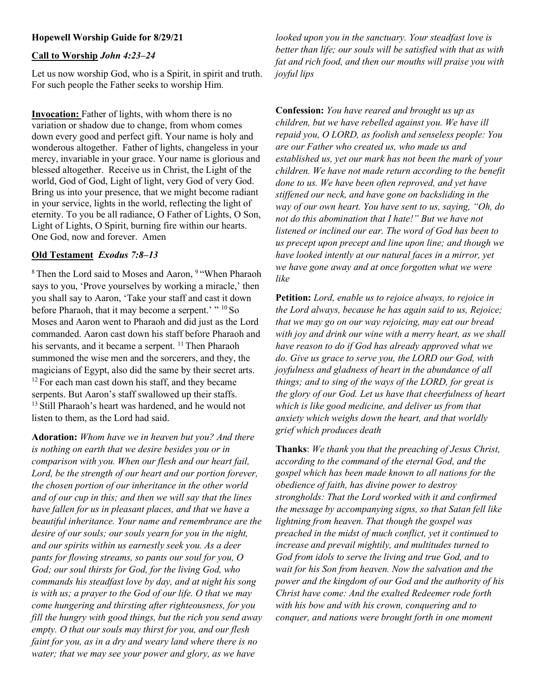# Hopewell Worship Guide for 8/29/21

## Call to Worship John 4:23–24

Let us now worship God, who is a Spirit, in spirit and truth. For such people the Father seeks to worship Him.

Invocation: Father of lights, with whom there is no variation or shadow due to change, from whom comes down every good and perfect gift. Your name is holy and wonderous altogether. Father of lights, changeless in your mercy, invariable in your grace. Your name is glorious and blessed altogether. Receive us in Christ, the Light of the world, God of God, Light of light, very God of very God. Bring us into your presence, that we might become radiant in your service, lights in the world, reflecting the light of eternity. To you be all radiance, O Father of Lights, O Son, Light of Lights, O Spirit, burning fire within our hearts. One God, now and forever. Amen

### Old Testament Exodus 7:8–13

<sup>8</sup> Then the Lord said to Moses and Aaron, <sup>9</sup> "When Pharaoh says to you, 'Prove yourselves by working a miracle,' then you shall say to Aaron, 'Take your staff and cast it down before Pharaoh, that it may become a serpent.' " <sup>10</sup> So Moses and Aaron went to Pharaoh and did just as the Lord commanded. Aaron cast down his staff before Pharaoh and his servants, and it became a serpent.  $11$  Then Pharaoh summoned the wise men and the sorcerers, and they, the magicians of Egypt, also did the same by their secret arts.  $12$  For each man cast down his staff, and they became serpents. But Aaron's staff swallowed up their staffs. <sup>13</sup> Still Pharaoh's heart was hardened, and he would not listen to them, as the Lord had said.

Adoration: Whom have we in heaven but you? And there is nothing on earth that we desire besides you or in comparison with you. When our flesh and our heart fail, Lord, be the strength of our heart and our portion forever, the chosen portion of our inheritance in the other world and of our cup in this; and then we will say that the lines have fallen for us in pleasant places, and that we have a beautiful inheritance. Your name and remembrance are the desire of our souls; our souls yearn for you in the night, and our spirits within us earnestly seek you. As a deer pants for flowing streams, so pants our soul for you, O God; our soul thirsts for God, for the living God, who commands his steadfast love by day, and at night his song is with us; a prayer to the God of our life. O that we may come hungering and thirsting after righteousness, for you fill the hungry with good things, but the rich you send away empty. O that our souls may thirst for you, and our flesh faint for you, as in a dry and weary land where there is no water; that we may see your power and glory, as we have

looked upon you in the sanctuary. Your steadfast love is better than life; our souls will be satisfied with that as with fat and rich food, and then our mouths will praise you with joyful lips

Confession: You have reared and brought us up as children, but we have rebelled against you. We have ill repaid you, O LORD, as foolish and senseless people: You are our Father who created us, who made us and established us, yet our mark has not been the mark of your children. We have not made return according to the benefit done to us. We have been often reproved, and yet have stiffened our neck, and have gone on backsliding in the way of our own heart. You have sent to us, saying, "Oh, do not do this abomination that I hate!" But we have not listened or inclined our ear. The word of God has been to us precept upon precept and line upon line; and though we have looked intently at our natural faces in a mirror, yet we have gone away and at once forgotten what we were like

Petition: Lord, enable us to rejoice always, to rejoice in the Lord always, because he has again said to us, Rejoice; that we may go on our way rejoicing, may eat our bread with joy and drink our wine with a merry heart, as we shall have reason to do if God has already approved what we do. Give us grace to serve you, the LORD our God, with joyfulness and gladness of heart in the abundance of all things; and to sing of the ways of the LORD, for great is the glory of our God. Let us have that cheerfulness of heart which is like good medicine, and deliver us from that anxiety which weighs down the heart, and that worldly grief which produces death

Thanks: We thank you that the preaching of Jesus Christ, according to the command of the eternal God, and the gospel which has been made known to all nations for the obedience of faith, has divine power to destroy strongholds: That the Lord worked with it and confirmed the message by accompanying signs, so that Satan fell like lightning from heaven. That though the gospel was preached in the midst of much conflict, yet it continued to increase and prevail mightily, and multitudes turned to God from idols to serve the living and true God, and to wait for his Son from heaven. Now the salvation and the power and the kingdom of our God and the authority of his Christ have come: And the exalted Redeemer rode forth with his bow and with his crown, conquering and to conquer, and nations were brought forth in one moment